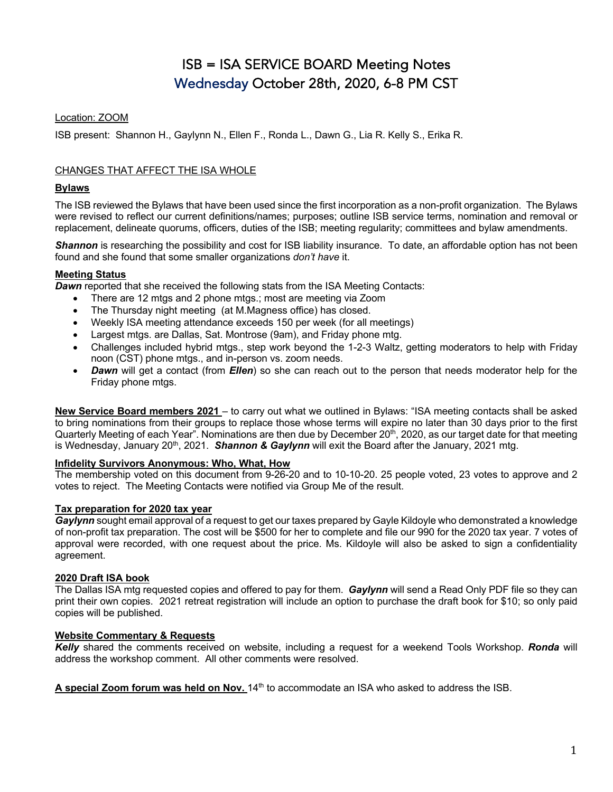# ISB = ISA SERVICE BOARD Meeting Notes Wednesday October 28th, 2020, 6-8 PM CST

# Location: ZOOM

ISB present: Shannon H., Gaylynn N., Ellen F., Ronda L., Dawn G., Lia R. Kelly S., Erika R.

# CHANGES THAT AFFECT THE ISA WHOLE

# **Bylaws**

The ISB reviewed the Bylaws that have been used since the first incorporation as a non-profit organization. The Bylaws were revised to reflect our current definitions/names; purposes; outline ISB service terms, nomination and removal or replacement, delineate quorums, officers, duties of the ISB; meeting regularity; committees and bylaw amendments.

**Shannon** is researching the possibility and cost for ISB liability insurance. To date, an affordable option has not been found and she found that some smaller organizations *don't have* it.

# **Meeting Status**

*Dawn* reported that she received the following stats from the ISA Meeting Contacts:

- There are 12 mtgs and 2 phone mtgs.; most are meeting via Zoom
- The Thursday night meeting (at M.Magness office) has closed.
- Weekly ISA meeting attendance exceeds 150 per week (for all meetings)
- Largest mtgs. are Dallas, Sat. Montrose (9am), and Friday phone mtg.
- Challenges included hybrid mtgs., step work beyond the 1-2-3 Waltz, getting moderators to help with Friday noon (CST) phone mtgs., and in-person vs. zoom needs.
- *Dawn* will get a contact (from *Ellen*) so she can reach out to the person that needs moderator help for the Friday phone mtgs.

**New Service Board members 2021** – to carry out what we outlined in Bylaws: "ISA meeting contacts shall be asked to bring nominations from their groups to replace those whose terms will expire no later than 30 days prior to the first Quarterly Meeting of each Year". Nominations are then due by December 20<sup>th</sup>, 2020, as our target date for that meeting is Wednesday, January 20<sup>th</sup>, 2021. *Shannon & Gaylynn* will exit the Board after the January, 2021 mtg.

# **Infidelity Survivors Anonymous: Who, What, How**

The membership voted on this document from 9-26-20 and to 10-10-20. 25 people voted, 23 votes to approve and 2 votes to reject. The Meeting Contacts were notified via Group Me of the result.

# **Tax preparation for 2020 tax year**

*Gaylynn* sought email approval of a request to get our taxes prepared by Gayle Kildoyle who demonstrated a knowledge of non-profit tax preparation. The cost will be \$500 for her to complete and file our 990 for the 2020 tax year. 7 votes of approval were recorded, with one request about the price. Ms. Kildoyle will also be asked to sign a confidentiality agreement.

# **2020 Draft ISA book**

The Dallas ISA mtg requested copies and offered to pay for them. *Gaylynn* will send a Read Only PDF file so they can print their own copies. 2021 retreat registration will include an option to purchase the draft book for \$10; so only paid copies will be published.

# **Website Commentary & Requests**

*Kelly* shared the comments received on website, including a request for a weekend Tools Workshop. *Ronda* will address the workshop comment. All other comments were resolved.

A special Zoom forum was held on Nov. 14<sup>th</sup> to accommodate an ISA who asked to address the ISB.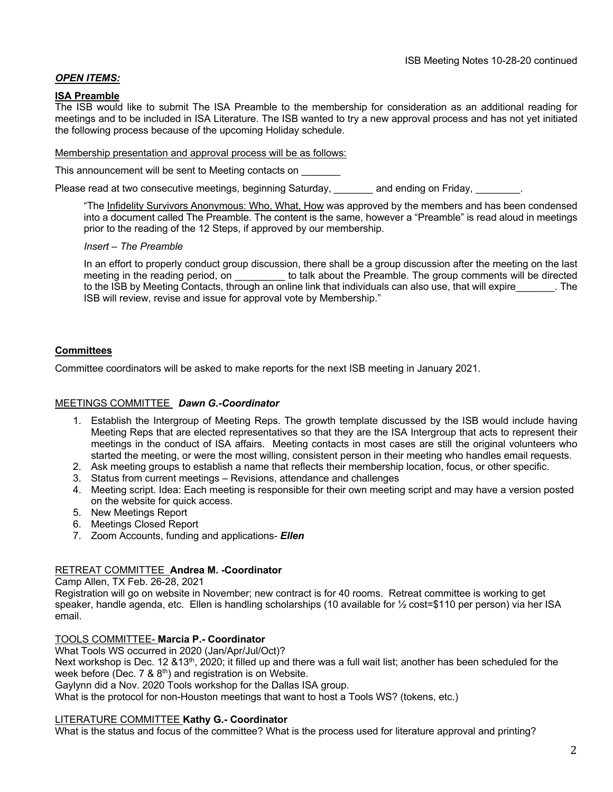# *OPEN ITEMS:*

## **ISA Preamble**

The ISB would like to submit The ISA Preamble to the membership for consideration as an additional reading for meetings and to be included in ISA Literature. The ISB wanted to try a new approval process and has not yet initiated the following process because of the upcoming Holiday schedule.

## Membership presentation and approval process will be as follows:

This announcement will be sent to Meeting contacts on

Please read at two consecutive meetings, beginning Saturday, *and ending on Friday,* 

"The Infidelity Survivors Anonymous: Who, What, How was approved by the members and has been condensed into a document called The Preamble. The content is the same, however a "Preamble" is read aloud in meetings prior to the reading of the 12 Steps, if approved by our membership.

## *Insert – The Preamble*

In an effort to properly conduct group discussion, there shall be a group discussion after the meeting on the last meeting in the reading period, on the talk about the Preamble. The group comments will be directed to the ISB by Meeting Contacts, through an online link that individuals can also use, that will expire The ISB will review, revise and issue for approval vote by Membership."

## **Committees**

Committee coordinators will be asked to make reports for the next ISB meeting in January 2021.

## MEETINGS COMMITTEE *Dawn G.-Coordinator*

- 1. Establish the Intergroup of Meeting Reps. The growth template discussed by the ISB would include having Meeting Reps that are elected representatives so that they are the ISA Intergroup that acts to represent their meetings in the conduct of ISA affairs. Meeting contacts in most cases are still the original volunteers who started the meeting, or were the most willing, consistent person in their meeting who handles email requests.
- 2. Ask meeting groups to establish a name that reflects their membership location, focus, or other specific.
- 3. Status from current meetings Revisions, attendance and challenges
- 4. Meeting script. Idea: Each meeting is responsible for their own meeting script and may have a version posted on the website for quick access.
- 5. New Meetings Report
- 6. Meetings Closed Report
- 7. Zoom Accounts, funding and applications- *Ellen*

## RETREAT COMMITTEE **Andrea M. -Coordinator**

Camp Allen, TX Feb. 26-28, 2021

Registration will go on website in November; new contract is for 40 rooms. Retreat committee is working to get speaker, handle agenda, etc. Ellen is handling scholarships (10 available for ½ cost=\$110 per person) via her ISA email.

## TOOLS COMMITTEE- **Marcia P.- Coordinator**

What Tools WS occurred in 2020 (Jan/Apr/Jul/Oct)?

Next workshop is Dec. 12  $&13<sup>th</sup>$ , 2020; it filled up and there was a full wait list; another has been scheduled for the week before (Dec.  $7 \& 8^{th}$ ) and registration is on Website.

Gaylynn did a Nov. 2020 Tools workshop for the Dallas ISA group.

What is the protocol for non-Houston meetings that want to host a Tools WS? (tokens, etc.)

## LITERATURE COMMITTEE **Kathy G.- Coordinator**

What is the status and focus of the committee? What is the process used for literature approval and printing?